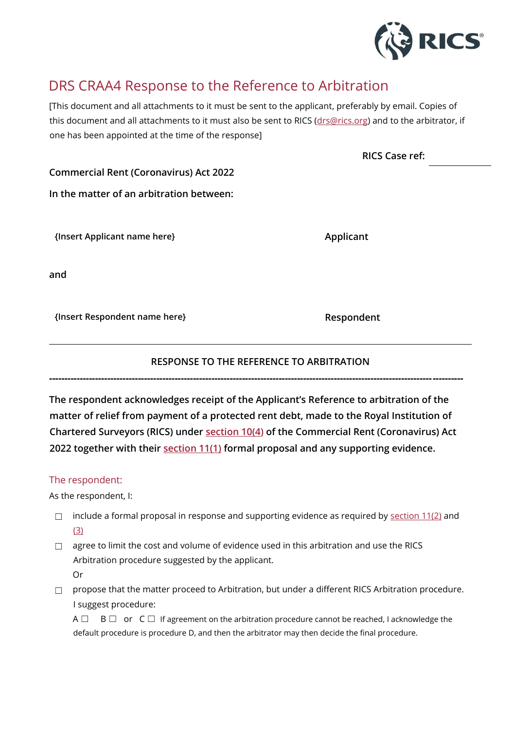

## DRS CRAA4 Response to the Reference to Arbitration

[This document and all attachments to it must be sent to the applicant, preferably by email. Copies of this document and all attachments to it must also be sent to RICS [\(drs@rics.org\)](mailto:drs@rics.org) and to the arbitrator, if one has been appointed at the time of the response]

**RICS Case ref:**

**Commercial Rent (Coronavirus) Act 2022**

**In the matter of an arbitration between:**

**{Insert Applicant name here} Applicant**

**and**

**{Insert Respondent name here} Respondent**

## **RESPONSE TO THE REFERENCE TO ARBITRATION**

**---------------------------------------------------------------------------------------------------------------------------------------**

**The respondent acknowledges receipt of the Applicant's Reference to arbitration of the matter of relief from payment of a protected rent debt, made to the Royal Institution of Chartered Surveyors (RICS) under [section 10\(4\)](https://www.legislation.gov.uk/ukpga/2022/12/section/10/enacted) of the Commercial Rent (Coronavirus) Act 2022 together with their [section 11\(1\)](https://www.legislation.gov.uk/ukpga/2022/12/section/11/enacted) formal proposal and any supporting evidence.**

## The respondent:

As the respondent, I:

- $\Box$  include a formal proposal in response and supporting evidence as required by [section 11\(2\)](https://www.legislation.gov.uk/ukpga/2022/12/section/11/enacted) and [\(3\)](https://www.legislation.gov.uk/ukpga/2022/12/section/11/enacted)
- □ agree to limit the cost and volume of evidence used in this arbitration and use the RICS Arbitration procedure suggested by the applicant. Or
- □ propose that the matter proceed to Arbitration, but under a different RICS Arbitration procedure. I suggest procedure:

A  $\Box$  B  $\Box$  or C  $\Box$  If agreement on the arbitration procedure cannot be reached, I acknowledge the default procedure is procedure D, and then the arbitrator may then decide the final procedure.